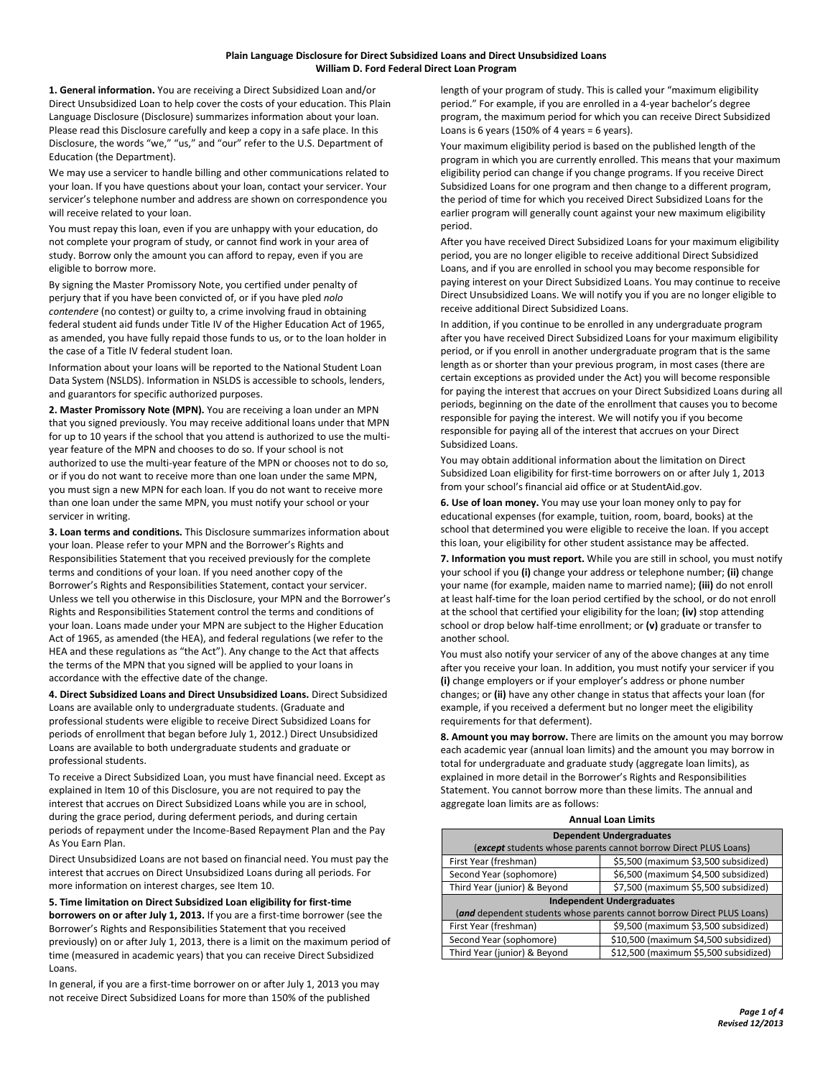**1. General information.** You are receiving a Direct Subsidized Loan and/or Direct Unsubsidized Loan to help cover the costs of your education. This Plain Language Disclosure (Disclosure) summarizes information about your loan. Please read this Disclosure carefully and keep a copy in a safe place. In this Disclosure, the words "we," "us," and "our" refer to the U.S. Department of Education (the Department).

We may use a servicer to handle billing and other communications related to your loan. If you have questions about your loan, contact your servicer. Your servicer's telephone number and address are shown on correspondence you will receive related to your loan.

You must repay this loan, even if you are unhappy with your education, do not complete your program of study, or cannot find work in your area of study. Borrow only the amount you can afford to repay, even if you are eligible to borrow more.

By signing the Master Promissory Note, you certified under penalty of perjury that if you have been convicted of, or if you have pled *nolo contendere* (no contest) or guilty to, a crime involving fraud in obtaining federal student aid funds under Title IV of the Higher Education Act of 1965, as amended, you have fully repaid those funds to us, or to the loan holder in the case of a Title IV federal student loan.

Information about your loans will be reported to the National Student Loan Data System (NSLDS). Information in NSLDS is accessible to schools, lenders, and guarantors for specific authorized purposes.

**2. Master Promissory Note (MPN).** You are receiving a loan under an MPN that you signed previously. You may receive additional loans under that MPN for up to 10 years if the school that you attend is authorized to use the multiyear feature of the MPN and chooses to do so. If your school is not authorized to use the multi-year feature of the MPN or chooses not to do so, or if you do not want to receive more than one loan under the same MPN, you must sign a new MPN for each loan. If you do not want to receive more than one loan under the same MPN, you must notify your school or your servicer in writing.

**3. Loan terms and conditions.** This Disclosure summarizes information about your loan. Please refer to your MPN and the Borrower's Rights and Responsibilities Statement that you received previously for the complete terms and conditions of your loan. If you need another copy of the Borrower's Rights and Responsibilities Statement, contact your servicer. Unless we tell you otherwise in this Disclosure, your MPN and the Borrower's Rights and Responsibilities Statement control the terms and conditions of your loan. Loans made under your MPN are subject to the Higher Education Act of 1965, as amended (the HEA), and federal regulations (we refer to the HEA and these regulations as "the Act"). Any change to the Act that affects the terms of the MPN that you signed will be applied to your loans in accordance with the effective date of the change.

**4. Direct Subsidized Loans and Direct Unsubsidized Loans.** Direct Subsidized Loans are available only to undergraduate students. (Graduate and professional students were eligible to receive Direct Subsidized Loans for periods of enrollment that began before July 1, 2012.) Direct Unsubsidized Loans are available to both undergraduate students and graduate or professional students.

To receive a Direct Subsidized Loan, you must have financial need. Except as explained in Item 10 of this Disclosure, you are not required to pay the interest that accrues on Direct Subsidized Loans while you are in school, during the grace period, during deferment periods, and during certain periods of repayment under the Income-Based Repayment Plan and the Pay As You Earn Plan.

Direct Unsubsidized Loans are not based on financial need. You must pay the interest that accrues on Direct Unsubsidized Loans during all periods. For more information on interest charges, see Item 10.

**5. Time limitation on Direct Subsidized Loan eligibility for first-time borrowers on or after July 1, 2013.** If you are a first-time borrower (see the Borrower's Rights and Responsibilities Statement that you received previously) on or after July 1, 2013, there is a limit on the maximum period of time (measured in academic years) that you can receive Direct Subsidized Loans.

In general, if you are a first-time borrower on or after July 1, 2013 you may not receive Direct Subsidized Loans for more than 150% of the published

length of your program of study. This is called your "maximum eligibility period." For example, if you are enrolled in a 4-year bachelor's degree program, the maximum period for which you can receive Direct Subsidized Loans is 6 years (150% of 4 years = 6 years).

Your maximum eligibility period is based on the published length of the program in which you are currently enrolled. This means that your maximum eligibility period can change if you change programs. If you receive Direct Subsidized Loans for one program and then change to a different program, the period of time for which you received Direct Subsidized Loans for the earlier program will generally count against your new maximum eligibility period.

After you have received Direct Subsidized Loans for your maximum eligibility period, you are no longer eligible to receive additional Direct Subsidized Loans, and if you are enrolled in school you may become responsible for paying interest on your Direct Subsidized Loans. You may continue to receive Direct Unsubsidized Loans. We will notify you if you are no longer eligible to receive additional Direct Subsidized Loans.

In addition, if you continue to be enrolled in any undergraduate program after you have received Direct Subsidized Loans for your maximum eligibility period, or if you enroll in another undergraduate program that is the same length as or shorter than your previous program, in most cases (there are certain exceptions as provided under the Act) you will become responsible for paying the interest that accrues on your Direct Subsidized Loans during all periods, beginning on the date of the enrollment that causes you to become responsible for paying the interest. We will notify you if you become responsible for paying all of the interest that accrues on your Direct Subsidized Loans.

You may obtain additional information about the limitation on Direct Subsidized Loan eligibility for first-time borrowers on or after July 1, 2013 from your school's financial aid office or at StudentAid.gov.

**6. Use of loan money.** You may use your loan money only to pay for educational expenses (for example, tuition, room, board, books) at the school that determined you were eligible to receive the loan. If you accept this loan, your eligibility for other student assistance may be affected.

**7. Information you must report.** While you are still in school, you must notify your school if you **(i)** change your address or telephone number; **(ii)** change your name (for example, maiden name to married name); **(iii)** do not enroll at least half-time for the loan period certified by the school, or do not enroll at the school that certified your eligibility for the loan; **(iv)** stop attending school or drop below half-time enrollment; or **(v)** graduate or transfer to another school.

You must also notify your servicer of any of the above changes at any time after you receive your loan. In addition, you must notify your servicer if you **(i)** change employers or if your employer's address or phone number changes; or **(ii)** have any other change in status that affects your loan (for example, if you received a deferment but no longer meet the eligibility requirements for that deferment).

**8. Amount you may borrow.** There are limits on the amount you may borrow each academic year (annual loan limits) and the amount you may borrow in total for undergraduate and graduate study (aggregate loan limits), as explained in more detail in the Borrower's Rights and Responsibilities Statement. You cannot borrow more than these limits. The annual and aggregate loan limits are as follows:

| <b>Dependent Undergraduates</b>                                        |                                       |  |
|------------------------------------------------------------------------|---------------------------------------|--|
| (except students whose parents cannot borrow Direct PLUS Loans)        |                                       |  |
| First Year (freshman)                                                  | \$5,500 (maximum \$3,500 subsidized)  |  |
| Second Year (sophomore)                                                | \$6,500 (maximum \$4,500 subsidized)  |  |
| Third Year (junior) & Beyond                                           | \$7,500 (maximum \$5,500 subsidized)  |  |
| <b>Independent Undergraduates</b>                                      |                                       |  |
| (and dependent students whose parents cannot borrow Direct PLUS Loans) |                                       |  |
| First Year (freshman)                                                  | \$9,500 (maximum \$3,500 subsidized)  |  |
| Second Year (sophomore)                                                | \$10,500 (maximum \$4,500 subsidized) |  |
| Third Year (junior) & Beyond                                           | \$12,500 (maximum \$5,500 subsidized) |  |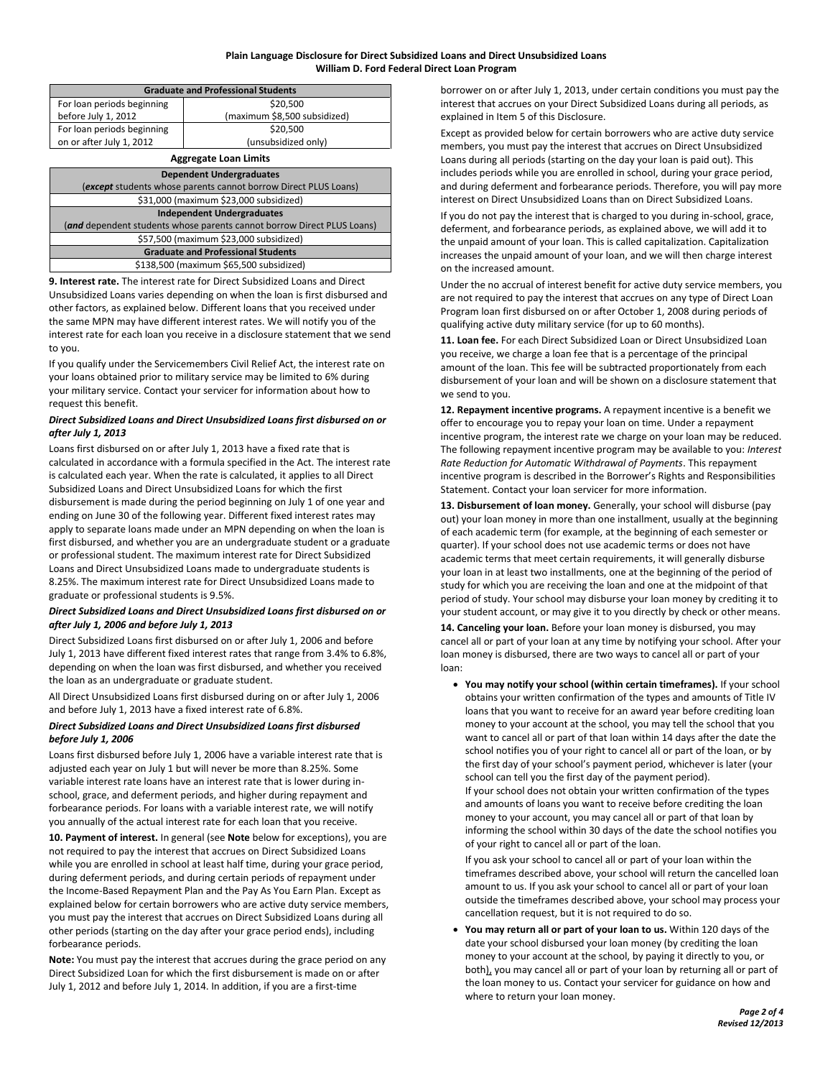| <b>Graduate and Professional Students</b> |                              |  |
|-------------------------------------------|------------------------------|--|
| For loan periods beginning                | \$20,500                     |  |
| before July 1, 2012                       | (maximum \$8,500 subsidized) |  |
| For loan periods beginning                | \$20,500                     |  |
| on or after July 1, 2012                  | (unsubsidized only)          |  |
| <b>Aggregate Loan Limits</b>              |                              |  |

| <b>Dependent Undergraduates</b>                                        |  |
|------------------------------------------------------------------------|--|
| (except students whose parents cannot borrow Direct PLUS Loans)        |  |
| \$31,000 (maximum \$23,000 subsidized)                                 |  |
| <b>Independent Undergraduates</b>                                      |  |
| (and dependent students whose parents cannot borrow Direct PLUS Loans) |  |
| \$57,500 (maximum \$23,000 subsidized)                                 |  |
| <b>Graduate and Professional Students</b>                              |  |
| \$138,500 (maximum \$65,500 subsidized)                                |  |
|                                                                        |  |

**9. Interest rate.** The interest rate for Direct Subsidized Loans and Direct Unsubsidized Loans varies depending on when the loan is first disbursed and other factors, as explained below. Different loans that you received under the same MPN may have different interest rates. We will notify you of the interest rate for each loan you receive in a disclosure statement that we send to you.

If you qualify under the Servicemembers Civil Relief Act, the interest rate on your loans obtained prior to military service may be limited to 6% during your military service. Contact your servicer for information about how to request this benefit.

## *Direct Subsidized Loans and Direct Unsubsidized Loans first disbursed on or after July 1, 2013*

Loans first disbursed on or after July 1, 2013 have a fixed rate that is calculated in accordance with a formula specified in the Act. The interest rate is calculated each year. When the rate is calculated, it applies to all Direct Subsidized Loans and Direct Unsubsidized Loans for which the first disbursement is made during the period beginning on July 1 of one year and ending on June 30 of the following year. Different fixed interest rates may apply to separate loans made under an MPN depending on when the loan is first disbursed, and whether you are an undergraduate student or a graduate or professional student. The maximum interest rate for Direct Subsidized Loans and Direct Unsubsidized Loans made to undergraduate students is 8.25%. The maximum interest rate for Direct Unsubsidized Loans made to graduate or professional students is 9.5%.

## *Direct Subsidized Loans and Direct Unsubsidized Loans first disbursed on or after July 1, 2006 and before July 1, 2013*

Direct Subsidized Loans first disbursed on or after July 1, 2006 and before July 1, 2013 have different fixed interest rates that range from 3.4% to 6.8%, depending on when the loan was first disbursed, and whether you received the loan as an undergraduate or graduate student.

All Direct Unsubsidized Loans first disbursed during on or after July 1, 2006 and before July 1, 2013 have a fixed interest rate of 6.8%.

## *Direct Subsidized Loans and Direct Unsubsidized Loans first disbursed before July 1, 2006*

Loans first disbursed before July 1, 2006 have a variable interest rate that is adjusted each year on July 1 but will never be more than 8.25%. Some variable interest rate loans have an interest rate that is lower during inschool, grace, and deferment periods, and higher during repayment and forbearance periods. For loans with a variable interest rate, we will notify you annually of the actual interest rate for each loan that you receive.

**10. Payment of interest.** In general (see **Note** below for exceptions), you are not required to pay the interest that accrues on Direct Subsidized Loans while you are enrolled in school at least half time, during your grace period, during deferment periods, and during certain periods of repayment under the Income-Based Repayment Plan and the Pay As You Earn Plan. Except as explained below for certain borrowers who are active duty service members, you must pay the interest that accrues on Direct Subsidized Loans during all other periods (starting on the day after your grace period ends), including forbearance periods.

**Note:** You must pay the interest that accrues during the grace period on any Direct Subsidized Loan for which the first disbursement is made on or after July 1, 2012 and before July 1, 2014. In addition, if you are a first-time

borrower on or after July 1, 2013, under certain conditions you must pay the interest that accrues on your Direct Subsidized Loans during all periods, as explained in Item 5 of this Disclosure.

Except as provided below for certain borrowers who are active duty service members, you must pay the interest that accrues on Direct Unsubsidized Loans during all periods (starting on the day your loan is paid out). This includes periods while you are enrolled in school, during your grace period, and during deferment and forbearance periods. Therefore, you will pay more interest on Direct Unsubsidized Loans than on Direct Subsidized Loans.

If you do not pay the interest that is charged to you during in-school, grace, deferment, and forbearance periods, as explained above, we will add it to the unpaid amount of your loan. This is called capitalization. Capitalization increases the unpaid amount of your loan, and we will then charge interest on the increased amount.

Under the no accrual of interest benefit for active duty service members, you are not required to pay the interest that accrues on any type of Direct Loan Program loan first disbursed on or after October 1, 2008 during periods of qualifying active duty military service (for up to 60 months).

**11. Loan fee.** For each Direct Subsidized Loan or Direct Unsubsidized Loan you receive, we charge a loan fee that is a percentage of the principal amount of the loan. This fee will be subtracted proportionately from each disbursement of your loan and will be shown on a disclosure statement that we send to you.

**12. Repayment incentive programs.** A repayment incentive is a benefit we offer to encourage you to repay your loan on time. Under a repayment incentive program, the interest rate we charge on your loan may be reduced. The following repayment incentive program may be available to you: *Interest Rate Reduction for Automatic Withdrawal of Payments*. This repayment incentive program is described in the Borrower's Rights and Responsibilities Statement. Contact your loan servicer for more information.

**13. Disbursement of loan money.** Generally, your school will disburse (pay out) your loan money in more than one installment, usually at the beginning of each academic term (for example, at the beginning of each semester or quarter). If your school does not use academic terms or does not have academic terms that meet certain requirements, it will generally disburse your loan in at least two installments, one at the beginning of the period of study for which you are receiving the loan and one at the midpoint of that period of study. Your school may disburse your loan money by crediting it to your student account, or may give it to you directly by check or other means.

**14. Canceling your loan.** Before your loan money is disbursed, you may cancel all or part of your loan at any time by notifying your school. After your loan money is disbursed, there are two ways to cancel all or part of your loan:

 **You may notify your school (within certain timeframes).** If your school obtains your written confirmation of the types and amounts of Title IV loans that you want to receive for an award year before crediting loan money to your account at the school, you may tell the school that you want to cancel all or part of that loan within 14 days after the date the school notifies you of your right to cancel all or part of the loan, or by the first day of your school's payment period, whichever is later (your school can tell you the first day of the payment period). If your school does not obtain your written confirmation of the types and amounts of loans you want to receive before crediting the loan money to your account, you may cancel all or part of that loan by informing the school within 30 days of the date the school notifies you of your right to cancel all or part of the loan.

If you ask your school to cancel all or part of your loan within the timeframes described above, your school will return the cancelled loan amount to us. If you ask your school to cancel all or part of your loan outside the timeframes described above, your school may process your cancellation request, but it is not required to do so.

 **You may return all or part of your loan to us.** Within 120 days of the date your school disbursed your loan money (by crediting the loan money to your account at the school, by paying it directly to you, or both), you may cancel all or part of your loan by returning all or part of the loan money to us. Contact your servicer for guidance on how and where to return your loan money.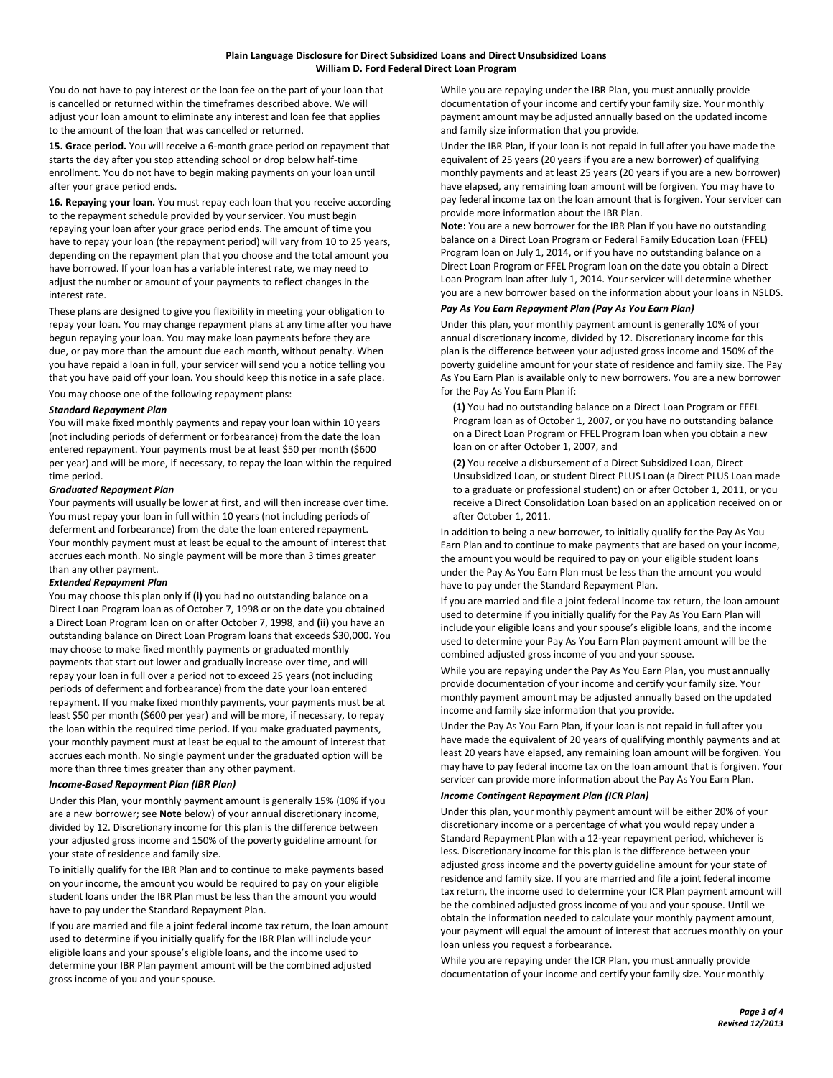You do not have to pay interest or the loan fee on the part of your loan that is cancelled or returned within the timeframes described above. We will adjust your loan amount to eliminate any interest and loan fee that applies to the amount of the loan that was cancelled or returned.

**15. Grace period.** You will receive a 6-month grace period on repayment that starts the day after you stop attending school or drop below half-time enrollment. You do not have to begin making payments on your loan until after your grace period ends.

**16. Repaying your loan.** You must repay each loan that you receive according to the repayment schedule provided by your servicer. You must begin repaying your loan after your grace period ends. The amount of time you have to repay your loan (the repayment period) will vary from 10 to 25 years, depending on the repayment plan that you choose and the total amount you have borrowed. If your loan has a variable interest rate, we may need to adjust the number or amount of your payments to reflect changes in the interest rate.

These plans are designed to give you flexibility in meeting your obligation to repay your loan. You may change repayment plans at any time after you have begun repaying your loan. You may make loan payments before they are due, or pay more than the amount due each month, without penalty. When you have repaid a loan in full, your servicer will send you a notice telling you that you have paid off your loan. You should keep this notice in a safe place. You may choose one of the following repayment plans:

#### *Standard Repayment Plan*

You will make fixed monthly payments and repay your loan within 10 years (not including periods of deferment or forbearance) from the date the loan entered repayment. Your payments must be at least \$50 per month (\$600 per year) and will be more, if necessary, to repay the loan within the required time period.

## *Graduated Repayment Plan*

Your payments will usually be lower at first, and will then increase over time. You must repay your loan in full within 10 years (not including periods of deferment and forbearance) from the date the loan entered repayment. Your monthly payment must at least be equal to the amount of interest that accrues each month. No single payment will be more than 3 times greater than any other payment.

#### *Extended Repayment Plan*

You may choose this plan only if **(i)** you had no outstanding balance on a Direct Loan Program loan as of October 7, 1998 or on the date you obtained a Direct Loan Program loan on or after October 7, 1998, and **(ii)** you have an outstanding balance on Direct Loan Program loans that exceeds \$30,000. You may choose to make fixed monthly payments or graduated monthly payments that start out lower and gradually increase over time, and will repay your loan in full over a period not to exceed 25 years (not including periods of deferment and forbearance) from the date your loan entered repayment. If you make fixed monthly payments, your payments must be at least \$50 per month (\$600 per year) and will be more, if necessary, to repay the loan within the required time period. If you make graduated payments, your monthly payment must at least be equal to the amount of interest that accrues each month. No single payment under the graduated option will be more than three times greater than any other payment.

## *Income-Based Repayment Plan (IBR Plan)*

Under this Plan, your monthly payment amount is generally 15% (10% if you are a new borrower; see **Note** below) of your annual discretionary income, divided by 12. Discretionary income for this plan is the difference between your adjusted gross income and 150% of the poverty guideline amount for your state of residence and family size.

To initially qualify for the IBR Plan and to continue to make payments based on your income, the amount you would be required to pay on your eligible student loans under the IBR Plan must be less than the amount you would have to pay under the Standard Repayment Plan.

If you are married and file a joint federal income tax return, the loan amount used to determine if you initially qualify for the IBR Plan will include your eligible loans and your spouse's eligible loans, and the income used to determine your IBR Plan payment amount will be the combined adjusted gross income of you and your spouse.

While you are repaying under the IBR Plan, you must annually provide documentation of your income and certify your family size. Your monthly payment amount may be adjusted annually based on the updated income and family size information that you provide.

Under the IBR Plan, if your loan is not repaid in full after you have made the equivalent of 25 years (20 years if you are a new borrower) of qualifying monthly payments and at least 25 years (20 years if you are a new borrower) have elapsed, any remaining loan amount will be forgiven. You may have to pay federal income tax on the loan amount that is forgiven. Your servicer can provide more information about the IBR Plan.

**Note:** You are a new borrower for the IBR Plan if you have no outstanding balance on a Direct Loan Program or Federal Family Education Loan (FFEL) Program loan on July 1, 2014, or if you have no outstanding balance on a Direct Loan Program or FFEL Program loan on the date you obtain a Direct Loan Program loan after July 1, 2014. Your servicer will determine whether you are a new borrower based on the information about your loans in NSLDS.

## *Pay As You Earn Repayment Plan (Pay As You Earn Plan)*

Under this plan, your monthly payment amount is generally 10% of your annual discretionary income, divided by 12. Discretionary income for this plan is the difference between your adjusted gross income and 150% of the poverty guideline amount for your state of residence and family size. The Pay As You Earn Plan is available only to new borrowers. You are a new borrower for the Pay As You Earn Plan if:

**(1)** You had no outstanding balance on a Direct Loan Program or FFEL Program loan as of October 1, 2007, or you have no outstanding balance on a Direct Loan Program or FFEL Program loan when you obtain a new loan on or after October 1, 2007, and

**(2)** You receive a disbursement of a Direct Subsidized Loan, Direct Unsubsidized Loan, or student Direct PLUS Loan (a Direct PLUS Loan made to a graduate or professional student) on or after October 1, 2011, or you receive a Direct Consolidation Loan based on an application received on or after October 1, 2011.

In addition to being a new borrower, to initially qualify for the Pay As You Earn Plan and to continue to make payments that are based on your income, the amount you would be required to pay on your eligible student loans under the Pay As You Earn Plan must be less than the amount you would have to pay under the Standard Repayment Plan.

If you are married and file a joint federal income tax return, the loan amount used to determine if you initially qualify for the Pay As You Earn Plan will include your eligible loans and your spouse's eligible loans, and the income used to determine your Pay As You Earn Plan payment amount will be the combined adjusted gross income of you and your spouse.

While you are repaying under the Pay As You Earn Plan, you must annually provide documentation of your income and certify your family size. Your monthly payment amount may be adjusted annually based on the updated income and family size information that you provide.

Under the Pay As You Earn Plan, if your loan is not repaid in full after you have made the equivalent of 20 years of qualifying monthly payments and at least 20 years have elapsed, any remaining loan amount will be forgiven. You may have to pay federal income tax on the loan amount that is forgiven. Your servicer can provide more information about the Pay As You Earn Plan.

# *Income Contingent Repayment Plan (ICR Plan)*

Under this plan, your monthly payment amount will be either 20% of your discretionary income or a percentage of what you would repay under a Standard Repayment Plan with a 12-year repayment period, whichever is less. Discretionary income for this plan is the difference between your adjusted gross income and the poverty guideline amount for your state of residence and family size. If you are married and file a joint federal income tax return, the income used to determine your ICR Plan payment amount will be the combined adjusted gross income of you and your spouse. Until we obtain the information needed to calculate your monthly payment amount, your payment will equal the amount of interest that accrues monthly on your loan unless you request a forbearance.

While you are repaying under the ICR Plan, you must annually provide documentation of your income and certify your family size. Your monthly